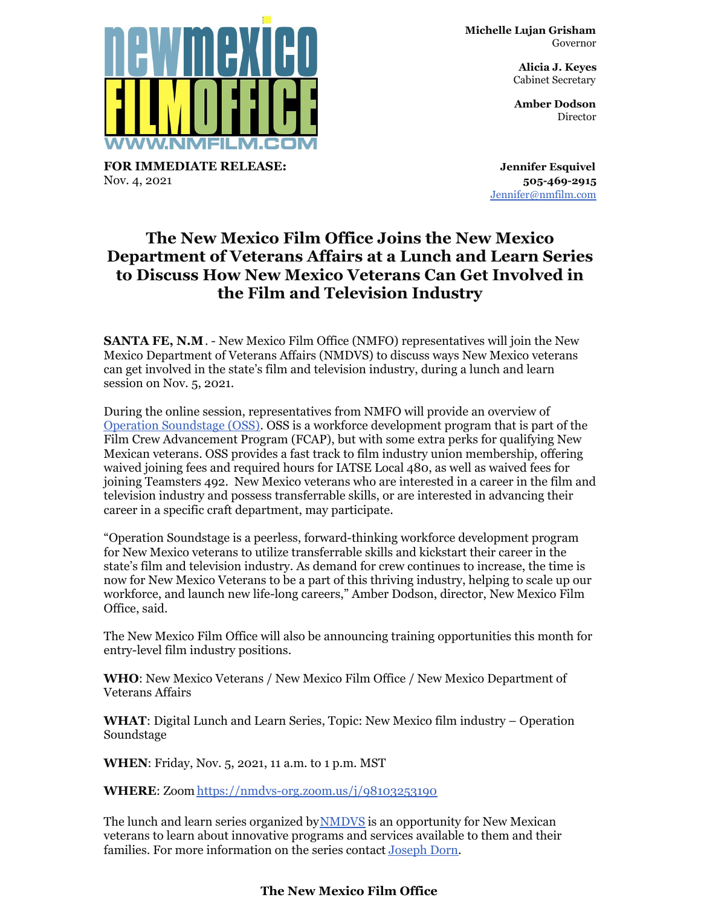**Michelle Lujan Grisham** Governor

> **Alicia J. Keyes** Cabinet Secretary

> **Amber Dodson Director**

**Jennifer Esquivel 505-469-2915** [Jennifer@nmfilm.com](mailto:jennifer@nmfilm.com)

## **The New Mexico Film Office Joins the New Mexico Department of Veterans Affairs at a Lunch and Learn Series to Discuss How New Mexico Veterans Can Get Involved in the Film and Television Industry**

**SANTA FE, N.M**. - New Mexico Film Office (NMFO) representatives will join the New Mexico Department of Veterans Affairs (NMDVS) to discuss ways New Mexico veterans can get involved in the state's film and television industry, during a lunch and learn session on Nov. 5, 2021.

During the online session, representatives from NMFO will provide an overview of Operation [Soundstage](https://nmfilm.com/operation-soundstage-oss/) (OSS). OSS is a workforce development program that is part of the Film Crew Advancement Program (FCAP), but with some extra perks for qualifying New Mexican veterans. OSS provides a fast track to film industry union membership, offering waived joining fees and required hours for IATSE Local 480, as well as waived fees for joining Teamsters 492. New Mexico veterans who are interested in a career in the film and television industry and possess transferrable skills, or are interested in advancing their career in a specific craft department, may participate.

"Operation Soundstage is a peerless, forward-thinking workforce development program for New Mexico veterans to utilize transferrable skills and kickstart their career in the state's film and television industry. As demand for crew continues to increase, the time is now for New Mexico Veterans to be a part of this thriving industry, helping to scale up our workforce, and launch new life-long careers," Amber Dodson, director, New Mexico Film Office, said.

The New Mexico Film Office will also be announcing training opportunities this month for entry-level film industry positions.

**WHO**: New Mexico Veterans / New Mexico Film Office / New Mexico Department of Veterans Affairs

**WHAT**: Digital Lunch and Learn Series, Topic: New Mexico film industry – Operation Soundstage

**WHEN**: Friday, Nov. 5, 2021, 11 a.m. to 1 p.m. MST

**WHERE**: Zoom <https://nmdvs-org.zoom.us/j/98103253190>

The lunch and learn series organized by[NMDVS](https://www.nmdvs.org/) is an opportunity for New Mexican veterans to learn about innovative programs and services available to them and their families. For more information on the series contact [Joseph](mailto:josephM.dorn@state.nm.us) Dorn.

## **The New Mexico Film Office**



**FOR IMMEDIATE RELEASE:** Nov. 4, 2021